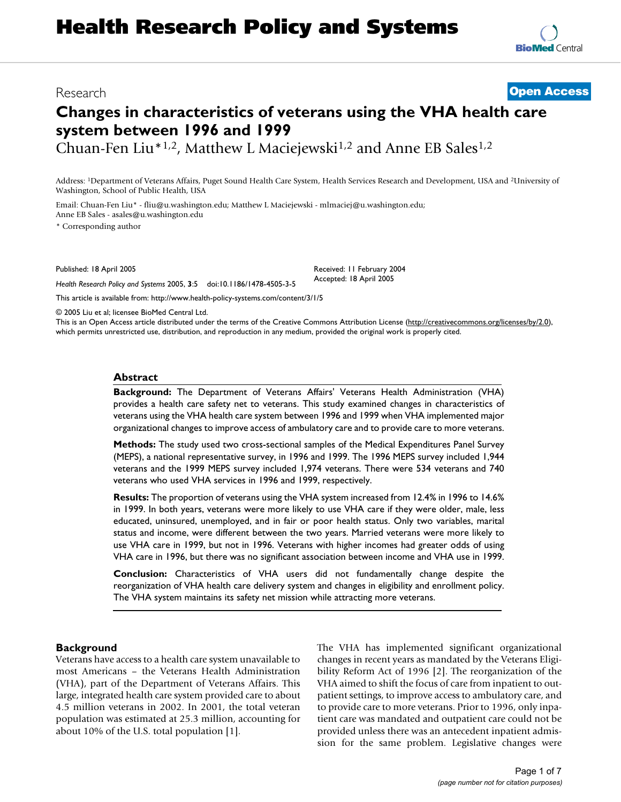# **Changes in characteristics of veterans using the VHA health care system between 1996 and 1999**

Chuan-Fen Liu<sup>\*1,2</sup>, Matthew L Maciejewski<sup>1,2</sup> and Anne EB Sales<sup>1,2</sup>

Address: 1Department of Veterans Affairs, Puget Sound Health Care System, Health Services Research and Development, USA and 2University of Washington, School of Public Health, USA

Email: Chuan-Fen Liu\* - fliu@u.washington.edu; Matthew L Maciejewski - mlmaciej@u.washington.edu; Anne EB Sales - asales@u.washington.edu

\* Corresponding author

Published: 18 April 2005

*Health Research Policy and Systems* 2005, **3**:5 doi:10.1186/1478-4505-3-5

[This article is available from: http://www.health-policy-systems.com/content/3/1/5](http://www.health-policy-systems.com/content/3/1/5)

© 2005 Liu et al; licensee BioMed Central Ltd.

This is an Open Access article distributed under the terms of the Creative Commons Attribution License [\(http://creativecommons.org/licenses/by/2.0\)](http://creativecommons.org/licenses/by/2.0), which permits unrestricted use, distribution, and reproduction in any medium, provided the original work is properly cited.

#### **Abstract**

**Background:** The Department of Veterans Affairs' Veterans Health Administration (VHA) provides a health care safety net to veterans. This study examined changes in characteristics of veterans using the VHA health care system between 1996 and 1999 when VHA implemented major organizational changes to improve access of ambulatory care and to provide care to more veterans.

**Methods:** The study used two cross-sectional samples of the Medical Expenditures Panel Survey (MEPS), a national representative survey, in 1996 and 1999. The 1996 MEPS survey included 1,944 veterans and the 1999 MEPS survey included 1,974 veterans. There were 534 veterans and 740 veterans who used VHA services in 1996 and 1999, respectively.

**Results:** The proportion of veterans using the VHA system increased from 12.4% in 1996 to 14.6% in 1999. In both years, veterans were more likely to use VHA care if they were older, male, less educated, uninsured, unemployed, and in fair or poor health status. Only two variables, marital status and income, were different between the two years. Married veterans were more likely to use VHA care in 1999, but not in 1996. Veterans with higher incomes had greater odds of using VHA care in 1996, but there was no significant association between income and VHA use in 1999.

**Conclusion:** Characteristics of VHA users did not fundamentally change despite the reorganization of VHA health care delivery system and changes in eligibility and enrollment policy. The VHA system maintains its safety net mission while attracting more veterans.

#### **Background**

Veterans have access to a health care system unavailable to most Americans – the Veterans Health Administration (VHA), part of the Department of Veterans Affairs. This large, integrated health care system provided care to about 4.5 million veterans in 2002. In 2001, the total veteran population was estimated at 25.3 million, accounting for about 10% of the U.S. total population [1].

The VHA has implemented significant organizational changes in recent years as mandated by the Veterans Eligibility Reform Act of 1996 [2]. The reorganization of the VHA aimed to shift the focus of care from inpatient to outpatient settings, to improve access to ambulatory care, and to provide care to more veterans. Prior to 1996, only inpatient care was mandated and outpatient care could not be provided unless there was an antecedent inpatient admission for the same problem. Legislative changes were



# Research **[Open Access](http://www.biomedcentral.com/info/about/charter/)**

Received: 11 February 2004 Accepted: 18 April 2005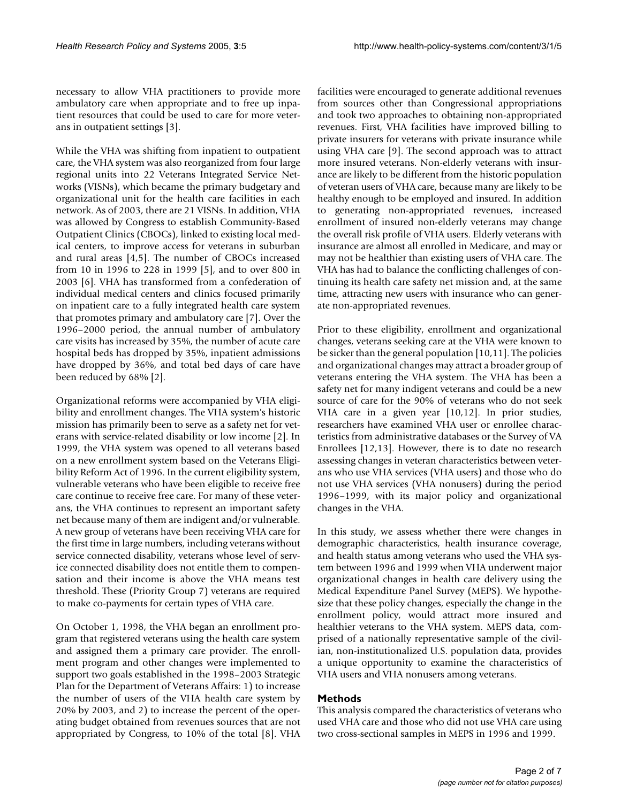necessary to allow VHA practitioners to provide more ambulatory care when appropriate and to free up inpatient resources that could be used to care for more veterans in outpatient settings [3].

While the VHA was shifting from inpatient to outpatient care, the VHA system was also reorganized from four large regional units into 22 Veterans Integrated Service Networks (VISNs), which became the primary budgetary and organizational unit for the health care facilities in each network. As of 2003, there are 21 VISNs. In addition, VHA was allowed by Congress to establish Community-Based Outpatient Clinics (CBOCs), linked to existing local medical centers, to improve access for veterans in suburban and rural areas [4,5]. The number of CBOCs increased from 10 in 1996 to 228 in 1999 [5], and to over 800 in 2003 [6]. VHA has transformed from a confederation of individual medical centers and clinics focused primarily on inpatient care to a fully integrated health care system that promotes primary and ambulatory care [7]. Over the 1996–2000 period, the annual number of ambulatory care visits has increased by 35%, the number of acute care hospital beds has dropped by 35%, inpatient admissions have dropped by 36%, and total bed days of care have been reduced by 68% [2].

Organizational reforms were accompanied by VHA eligibility and enrollment changes. The VHA system's historic mission has primarily been to serve as a safety net for veterans with service-related disability or low income [2]. In 1999, the VHA system was opened to all veterans based on a new enrollment system based on the Veterans Eligibility Reform Act of 1996. In the current eligibility system, vulnerable veterans who have been eligible to receive free care continue to receive free care. For many of these veterans, the VHA continues to represent an important safety net because many of them are indigent and/or vulnerable. A new group of veterans have been receiving VHA care for the first time in large numbers, including veterans without service connected disability, veterans whose level of service connected disability does not entitle them to compensation and their income is above the VHA means test threshold. These (Priority Group 7) veterans are required to make co-payments for certain types of VHA care.

On October 1, 1998, the VHA began an enrollment program that registered veterans using the health care system and assigned them a primary care provider. The enrollment program and other changes were implemented to support two goals established in the 1998–2003 Strategic Plan for the Department of Veterans Affairs: 1) to increase the number of users of the VHA health care system by 20% by 2003, and 2) to increase the percent of the operating budget obtained from revenues sources that are not appropriated by Congress, to 10% of the total [8]. VHA

facilities were encouraged to generate additional revenues from sources other than Congressional appropriations and took two approaches to obtaining non-appropriated revenues. First, VHA facilities have improved billing to private insurers for veterans with private insurance while using VHA care [9]. The second approach was to attract more insured veterans. Non-elderly veterans with insurance are likely to be different from the historic population of veteran users of VHA care, because many are likely to be healthy enough to be employed and insured. In addition to generating non-appropriated revenues, increased enrollment of insured non-elderly veterans may change the overall risk profile of VHA users. Elderly veterans with insurance are almost all enrolled in Medicare, and may or may not be healthier than existing users of VHA care. The VHA has had to balance the conflicting challenges of continuing its health care safety net mission and, at the same time, attracting new users with insurance who can generate non-appropriated revenues.

Prior to these eligibility, enrollment and organizational changes, veterans seeking care at the VHA were known to be sicker than the general population [10,11]. The policies and organizational changes may attract a broader group of veterans entering the VHA system. The VHA has been a safety net for many indigent veterans and could be a new source of care for the 90% of veterans who do not seek VHA care in a given year [10,12]. In prior studies, researchers have examined VHA user or enrollee characteristics from administrative databases or the Survey of VA Enrollees [12,13]. However, there is to date no research assessing changes in veteran characteristics between veterans who use VHA services (VHA users) and those who do not use VHA services (VHA nonusers) during the period 1996–1999, with its major policy and organizational changes in the VHA.

In this study, we assess whether there were changes in demographic characteristics, health insurance coverage, and health status among veterans who used the VHA system between 1996 and 1999 when VHA underwent major organizational changes in health care delivery using the Medical Expenditure Panel Survey (MEPS). We hypothesize that these policy changes, especially the change in the enrollment policy, would attract more insured and healthier veterans to the VHA system. MEPS data, comprised of a nationally representative sample of the civilian, non-institutionalized U.S. population data, provides a unique opportunity to examine the characteristics of VHA users and VHA nonusers among veterans.

# **Methods**

This analysis compared the characteristics of veterans who used VHA care and those who did not use VHA care using two cross-sectional samples in MEPS in 1996 and 1999.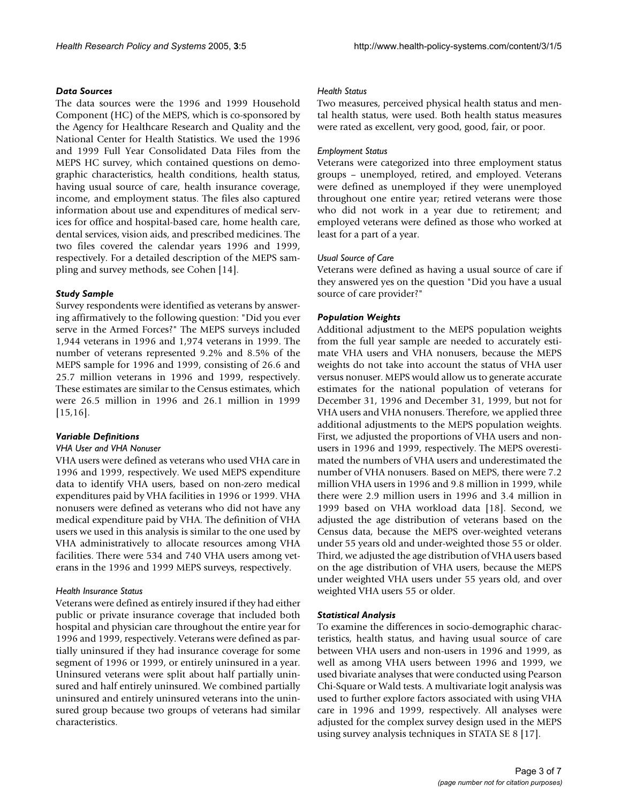#### *Data Sources*

The data sources were the 1996 and 1999 Household Component (HC) of the MEPS, which is co-sponsored by the Agency for Healthcare Research and Quality and the National Center for Health Statistics. We used the 1996 and 1999 Full Year Consolidated Data Files from the MEPS HC survey, which contained questions on demographic characteristics, health conditions, health status, having usual source of care, health insurance coverage, income, and employment status. The files also captured information about use and expenditures of medical services for office and hospital-based care, home health care, dental services, vision aids, and prescribed medicines. The two files covered the calendar years 1996 and 1999, respectively. For a detailed description of the MEPS sampling and survey methods, see Cohen [14].

# *Study Sample*

Survey respondents were identified as veterans by answering affirmatively to the following question: "Did you ever serve in the Armed Forces?" The MEPS surveys included 1,944 veterans in 1996 and 1,974 veterans in 1999. The number of veterans represented 9.2% and 8.5% of the MEPS sample for 1996 and 1999, consisting of 26.6 and 25.7 million veterans in 1996 and 1999, respectively. These estimates are similar to the Census estimates, which were 26.5 million in 1996 and 26.1 million in 1999 [15,16].

# *Variable Definitions*

# *VHA User and VHA Nonuser*

VHA users were defined as veterans who used VHA care in 1996 and 1999, respectively. We used MEPS expenditure data to identify VHA users, based on non-zero medical expenditures paid by VHA facilities in 1996 or 1999. VHA nonusers were defined as veterans who did not have any medical expenditure paid by VHA. The definition of VHA users we used in this analysis is similar to the one used by VHA administratively to allocate resources among VHA facilities. There were 534 and 740 VHA users among veterans in the 1996 and 1999 MEPS surveys, respectively.

# *Health Insurance Status*

Veterans were defined as entirely insured if they had either public or private insurance coverage that included both hospital and physician care throughout the entire year for 1996 and 1999, respectively. Veterans were defined as partially uninsured if they had insurance coverage for some segment of 1996 or 1999, or entirely uninsured in a year. Uninsured veterans were split about half partially uninsured and half entirely uninsured. We combined partially uninsured and entirely uninsured veterans into the uninsured group because two groups of veterans had similar characteristics.

#### *Health Status*

Two measures, perceived physical health status and mental health status, were used. Both health status measures were rated as excellent, very good, good, fair, or poor.

# *Employment Status*

Veterans were categorized into three employment status groups – unemployed, retired, and employed. Veterans were defined as unemployed if they were unemployed throughout one entire year; retired veterans were those who did not work in a year due to retirement; and employed veterans were defined as those who worked at least for a part of a year.

#### *Usual Source of Care*

Veterans were defined as having a usual source of care if they answered yes on the question "Did you have a usual source of care provider?"

# *Population Weights*

Additional adjustment to the MEPS population weights from the full year sample are needed to accurately estimate VHA users and VHA nonusers, because the MEPS weights do not take into account the status of VHA user versus nonuser. MEPS would allow us to generate accurate estimates for the national population of veterans for December 31, 1996 and December 31, 1999, but not for VHA users and VHA nonusers. Therefore, we applied three additional adjustments to the MEPS population weights. First, we adjusted the proportions of VHA users and nonusers in 1996 and 1999, respectively. The MEPS overestimated the numbers of VHA users and underestimated the number of VHA nonusers. Based on MEPS, there were 7.2 million VHA users in 1996 and 9.8 million in 1999, while there were 2.9 million users in 1996 and 3.4 million in 1999 based on VHA workload data [18]. Second, we adjusted the age distribution of veterans based on the Census data, because the MEPS over-weighted veterans under 55 years old and under-weighted those 55 or older. Third, we adjusted the age distribution of VHA users based on the age distribution of VHA users, because the MEPS under weighted VHA users under 55 years old, and over weighted VHA users 55 or older.

# *Statistical Analysis*

To examine the differences in socio-demographic characteristics, health status, and having usual source of care between VHA users and non-users in 1996 and 1999, as well as among VHA users between 1996 and 1999, we used bivariate analyses that were conducted using Pearson Chi-Square or Wald tests. A multivariate logit analysis was used to further explore factors associated with using VHA care in 1996 and 1999, respectively. All analyses were adjusted for the complex survey design used in the MEPS using survey analysis techniques in STATA SE 8 [17].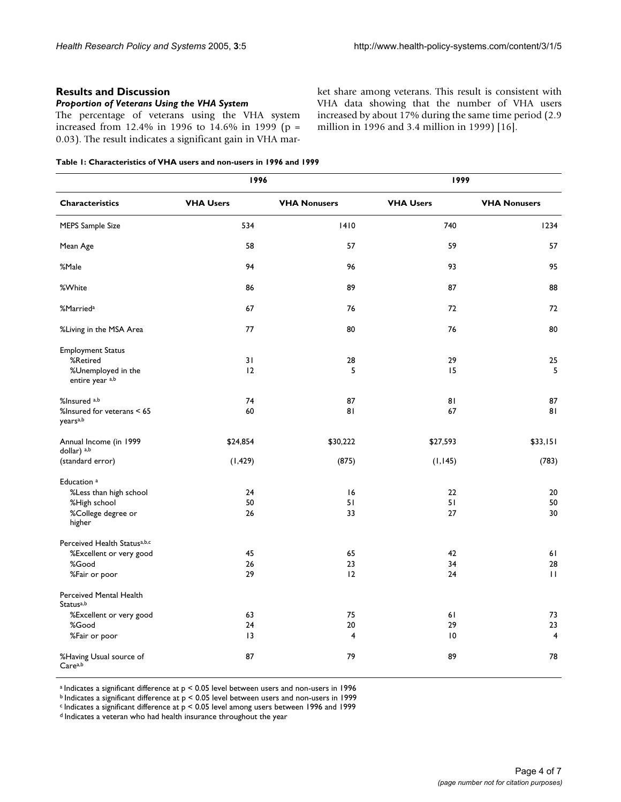#### **Results and Discussion**

#### *Proportion of Veterans Using the VHA System*

The percentage of veterans using the VHA system increased from 12.4% in 1996 to 14.6% in 1999 (p = 0.03). The result indicates a significant gain in VHA market share among veterans. This result is consistent with VHA data showing that the number of VHA users increased by about 17% during the same time period (2.9 million in 1996 and 3.4 million in 1999) [16].

<span id="page-3-0"></span>

|  |  | Table 1: Characteristics of VHA users and non-users in 1996 and 1999 |  |  |
|--|--|----------------------------------------------------------------------|--|--|
|--|--|----------------------------------------------------------------------|--|--|

|                                                    | 1996             |                     | 1999             |                     |  |
|----------------------------------------------------|------------------|---------------------|------------------|---------------------|--|
| <b>Characteristics</b>                             | <b>VHA Users</b> | <b>VHA Nonusers</b> | <b>VHA Users</b> | <b>VHA Nonusers</b> |  |
| <b>MEPS Sample Size</b>                            | 534              | 1410                | 740              | 1234                |  |
| Mean Age                                           | 58               | 57                  | 59               | 57                  |  |
| %Male                                              | 94               | 96                  | 93               | 95                  |  |
| %White                                             | 86               | 89                  | 87               | 88                  |  |
| %Married <sup>a</sup>                              | 67               | 76                  | 72               | 72                  |  |
| %Living in the MSA Area                            | 77               | 80                  | 76               | 80                  |  |
| <b>Employment Status</b>                           |                  |                     |                  |                     |  |
| %Retired                                           | 31               | 28                  | 29               | 25                  |  |
| %Unemployed in the                                 | 12               | 5                   | 15               | 5                   |  |
| entire year a,b                                    |                  |                     |                  |                     |  |
| %Insured <sup>a,b</sup>                            | 74               | 87                  | 81               | 87                  |  |
| %Insured for veterans < 65<br>years <sup>a,b</sup> | 60               | 81                  | 67               | 81                  |  |
| Annual Income (in 1999<br>dollar) a,b              | \$24,854         | \$30,222            | \$27,593         | \$33,151            |  |
| (standard error)                                   | (1, 429)         | (875)               | (1, 145)         | (783)               |  |
| Education <sup>a</sup>                             |                  |                     |                  |                     |  |
| %Less than high school                             | 24               | 16                  | 22               | 20                  |  |
| %High school                                       | 50               | 51                  | 51               | 50                  |  |
| %College degree or<br>higher                       | 26               | 33                  | 27               | 30                  |  |
| Perceived Health Statusa,b,c                       |                  |                     |                  |                     |  |
| %Excellent or very good                            | 45               | 65                  | 42               | 61                  |  |
| %Good                                              | 26               | 23                  | 34               | 28                  |  |
| %Fair or poor                                      | 29               | 12                  | 24               | $\mathbf{H}$        |  |
| Perceived Mental Health<br>Statusa,b               |                  |                     |                  |                     |  |
| %Excellent or very good                            | 63               | 75                  | 61               | 73                  |  |
| %Good                                              | 24               | 20                  | 29               | 23                  |  |
| %Fair or poor                                      | 13               | $\overline{4}$      | $\overline{10}$  | $\overline{4}$      |  |
| %Having Usual source of<br>Carea,b                 | 87               | 79                  | 89               | 78                  |  |

 $a$  Indicates a significant difference at  $p < 0.05$  level between users and non-users in 1996

 $<sub>b</sub>$  Indicates a significant difference at  $p < 0.05$  level between users and non-users in 1999</sub>

 $c$  Indicates a significant difference at  $p < 0.05$  level among users between 1996 and 1999

d Indicates a veteran who had health insurance throughout the year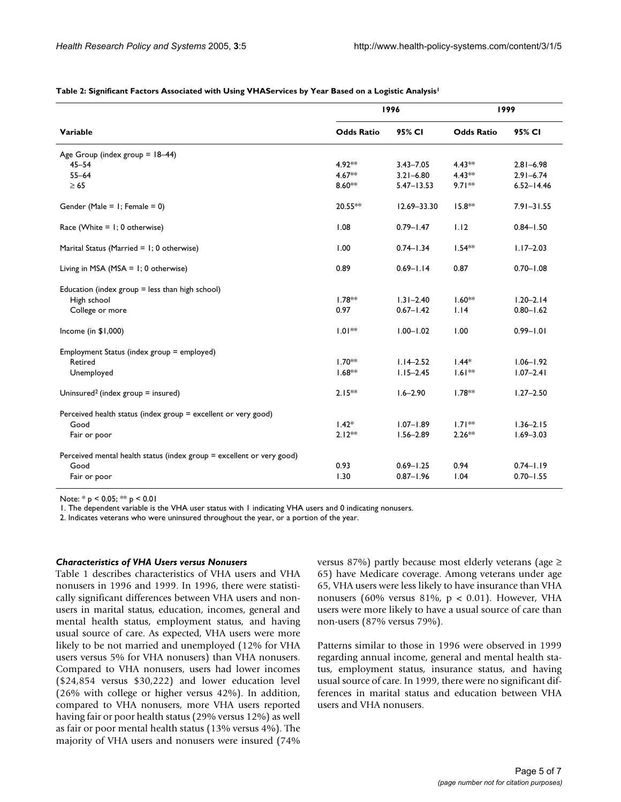|                                                                       | 1996              |                 | 1999              |                |
|-----------------------------------------------------------------------|-------------------|-----------------|-------------------|----------------|
| Variable                                                              | <b>Odds Ratio</b> | 95% CI          | <b>Odds Ratio</b> | 95% CI         |
| Age Group (index group $= 18-44$ )                                    |                   |                 |                   |                |
| $45 - 54$                                                             | 4.92**            | $3.43 - 7.05$   | $4.43**$          | $2.81 - 6.98$  |
| $55 - 64$                                                             | $4.67**$          | $3.21 - 6.80$   | $4.43***$         | $2.91 - 6.74$  |
| $\geq 65$                                                             | $8.60**$          | $5.47 - 13.53$  | $9.71**$          | $6.52 - 14.46$ |
| Gender (Male = $1$ ; Female = 0)                                      | $20.55**$         | $12.69 - 33.30$ | $15.8**$          | $7.91 - 31.55$ |
| Race (White $= 1$ ; 0 otherwise)                                      | 1.08              | $0.79 - 1.47$   | 1.12              | $0.84 - 1.50$  |
| Marital Status (Married = 1; 0 otherwise)                             | 1.00              | $0.74 - 1.34$   | $1.54***$         | $1.17 - 2.03$  |
| Living in MSA (MSA = $1$ ; 0 otherwise)                               | 0.89              | $0.69 - 1.14$   | 0.87              | $0.70 - 1.08$  |
| Education (index group $=$ less than high school)                     |                   |                 |                   |                |
| High school                                                           | $1.78**$          | $1.31 - 2.40$   | $1.60**$          | $1.20 - 2.14$  |
| College or more                                                       | 0.97              | $0.67 - 1.42$   | 1.14              | $0.80 - 1.62$  |
| Income (in \$1,000)                                                   | $1.01**$          | $1.00 - 1.02$   | 1.00              | $0.99 - 1.01$  |
| Employment Status (index group = employed)                            |                   |                 |                   |                |
| Retired                                                               | $1.70**$          | $1.14 - 2.52$   | $1.44*$           | $1.06 - 1.92$  |
| Unemployed                                                            | $1.68**$          | $1.15 - 2.45$   | $1.61**$          | $1.07 - 2.41$  |
| Uninsured <sup>2</sup> (index group $=$ insured)                      | $2.15***$         | $1.6 - 2.90$    | $1.78**$          | $1.27 - 2.50$  |
| Perceived health status (index group = excellent or very good)        |                   |                 |                   |                |
| Good                                                                  | $1.42*$           | $1.07 - 1.89$   | $1.71**$          | $1.36 - 2.15$  |
| Fair or poor                                                          | $2.12***$         | $1.56 - 2.89$   | $2.26**$          | $1.69 - 3.03$  |
| Perceived mental health status (index group = excellent or very good) |                   |                 |                   |                |
| Good                                                                  | 0.93              | $0.69 - 1.25$   | 0.94              | $0.74 - 1.19$  |
| Fair or poor                                                          | 1.30              | $0.87 - 1.96$   | 1.04              | $0.70 - 1.55$  |

#### <span id="page-4-0"></span>**Table 2: Significant Factors Associated with Using VHAServices by Year Based on a Logistic Analysis1**

Note: \* p < 0.05; \*\* p < 0.01

1. The dependent variable is the VHA user status with 1 indicating VHA users and 0 indicating nonusers.

2. Indicates veterans who were uninsured throughout the year, or a portion of the year.

#### *Characteristics of VHA Users versus Nonusers*

Table [1](#page-3-0) describes characteristics of VHA users and VHA nonusers in 1996 and 1999. In 1996, there were statistically significant differences between VHA users and nonusers in marital status, education, incomes, general and mental health status, employment status, and having usual source of care. As expected, VHA users were more likely to be not married and unemployed (12% for VHA users versus 5% for VHA nonusers) than VHA nonusers. Compared to VHA nonusers, users had lower incomes (\$24,854 versus \$30,222) and lower education level (26% with college or higher versus 42%). In addition, compared to VHA nonusers, more VHA users reported having fair or poor health status (29% versus 12%) as well as fair or poor mental health status (13% versus 4%). The majority of VHA users and nonusers were insured (74%

versus 87%) partly because most elderly veterans (age  $\ge$ 65) have Medicare coverage. Among veterans under age 65, VHA users were less likely to have insurance than VHA nonusers (60% versus 81%,  $p < 0.01$ ). However, VHA users were more likely to have a usual source of care than non-users (87% versus 79%).

Patterns similar to those in 1996 were observed in 1999 regarding annual income, general and mental health status, employment status, insurance status, and having usual source of care. In 1999, there were no significant differences in marital status and education between VHA users and VHA nonusers.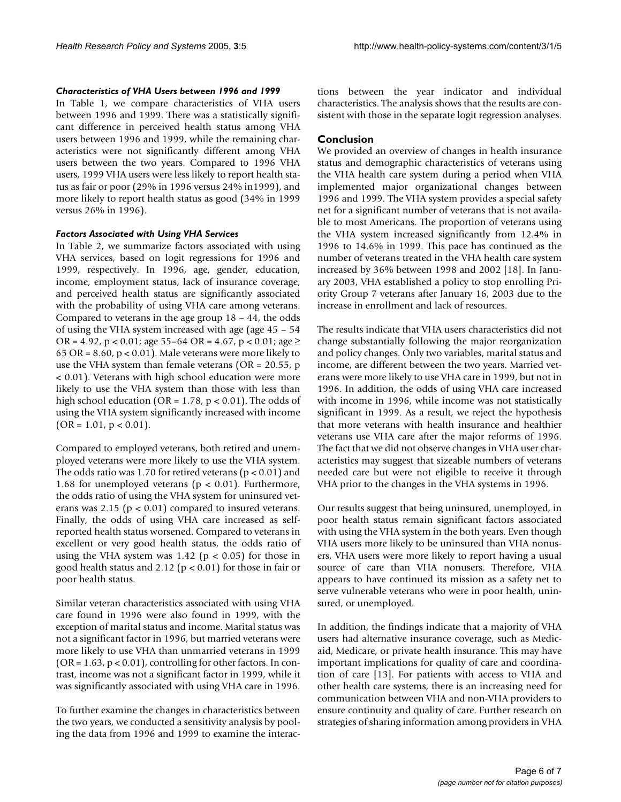#### *Characteristics of VHA Users between 1996 and 1999*

In Table [1,](#page-3-0) we compare characteristics of VHA users between 1996 and 1999. There was a statistically significant difference in perceived health status among VHA users between 1996 and 1999, while the remaining characteristics were not significantly different among VHA users between the two years. Compared to 1996 VHA users, 1999 VHA users were less likely to report health status as fair or poor (29% in 1996 versus 24% in1999), and more likely to report health status as good (34% in 1999 versus 26% in 1996).

#### *Factors Associated with Using VHA Services*

In Table [2](#page-4-0), we summarize factors associated with using VHA services, based on logit regressions for 1996 and 1999, respectively. In 1996, age, gender, education, income, employment status, lack of insurance coverage, and perceived health status are significantly associated with the probability of using VHA care among veterans. Compared to veterans in the age group 18 – 44, the odds of using the VHA system increased with age (age 45 – 54 OR = 4.92, p < 0.01; age 55–64 OR = 4.67, p < 0.01; age  $\ge$ 65 OR =  $8.60$ , p <  $0.01$ ). Male veterans were more likely to use the VHA system than female veterans ( $OR = 20.55$ , p < 0.01). Veterans with high school education were more likely to use the VHA system than those with less than high school education (OR =  $1.78$ , p < 0.01). The odds of using the VHA system significantly increased with income  $(OR = 1.01, p < 0.01).$ 

Compared to employed veterans, both retired and unemployed veterans were more likely to use the VHA system. The odds ratio was 1.70 for retired veterans ( $p < 0.01$ ) and 1.68 for unemployed veterans ( $p < 0.01$ ). Furthermore, the odds ratio of using the VHA system for uninsured veterans was 2.15 ( $p < 0.01$ ) compared to insured veterans. Finally, the odds of using VHA care increased as selfreported health status worsened. Compared to veterans in excellent or very good health status, the odds ratio of using the VHA system was  $1.42$  ( $p < 0.05$ ) for those in good health status and 2.12 ( $p < 0.01$ ) for those in fair or poor health status.

Similar veteran characteristics associated with using VHA care found in 1996 were also found in 1999, with the exception of marital status and income. Marital status was not a significant factor in 1996, but married veterans were more likely to use VHA than unmarried veterans in 1999  $(OR = 1.63, p < 0.01)$ , controlling for other factors. In contrast, income was not a significant factor in 1999, while it was significantly associated with using VHA care in 1996.

To further examine the changes in characteristics between the two years, we conducted a sensitivity analysis by pooling the data from 1996 and 1999 to examine the interactions between the year indicator and individual characteristics. The analysis shows that the results are consistent with those in the separate logit regression analyses.

#### **Conclusion**

We provided an overview of changes in health insurance status and demographic characteristics of veterans using the VHA health care system during a period when VHA implemented major organizational changes between 1996 and 1999. The VHA system provides a special safety net for a significant number of veterans that is not available to most Americans. The proportion of veterans using the VHA system increased significantly from 12.4% in 1996 to 14.6% in 1999. This pace has continued as the number of veterans treated in the VHA health care system increased by 36% between 1998 and 2002 [18]. In January 2003, VHA established a policy to stop enrolling Priority Group 7 veterans after January 16, 2003 due to the increase in enrollment and lack of resources.

The results indicate that VHA users characteristics did not change substantially following the major reorganization and policy changes. Only two variables, marital status and income, are different between the two years. Married veterans were more likely to use VHA care in 1999, but not in 1996. In addition, the odds of using VHA care increased with income in 1996, while income was not statistically significant in 1999. As a result, we reject the hypothesis that more veterans with health insurance and healthier veterans use VHA care after the major reforms of 1996. The fact that we did not observe changes in VHA user characteristics may suggest that sizeable numbers of veterans needed care but were not eligible to receive it through VHA prior to the changes in the VHA systems in 1996.

Our results suggest that being uninsured, unemployed, in poor health status remain significant factors associated with using the VHA system in the both years. Even though VHA users more likely to be uninsured than VHA nonusers, VHA users were more likely to report having a usual source of care than VHA nonusers. Therefore, VHA appears to have continued its mission as a safety net to serve vulnerable veterans who were in poor health, uninsured, or unemployed.

In addition, the findings indicate that a majority of VHA users had alternative insurance coverage, such as Medicaid, Medicare, or private health insurance. This may have important implications for quality of care and coordination of care [13]. For patients with access to VHA and other health care systems, there is an increasing need for communication between VHA and non-VHA providers to ensure continuity and quality of care. Further research on strategies of sharing information among providers in VHA